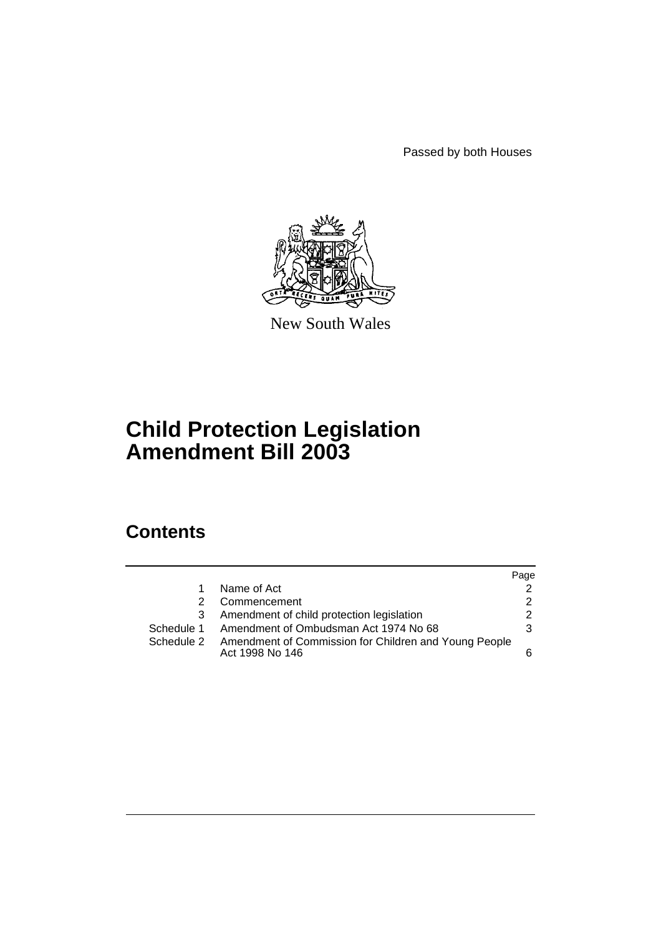Passed by both Houses



New South Wales

# **Child Protection Legislation Amendment Bill 2003**

# **Contents**

|            |                                                                                     | Page          |
|------------|-------------------------------------------------------------------------------------|---------------|
| 1.         | Name of Act                                                                         | $\mathcal{P}$ |
| 2          | Commencement                                                                        | $\mathcal{P}$ |
| 3          | Amendment of child protection legislation                                           | $\mathcal{P}$ |
| Schedule 1 | Amendment of Ombudsman Act 1974 No 68                                               | 3             |
|            | Schedule 2 Amendment of Commission for Children and Young People<br>Act 1998 No 146 |               |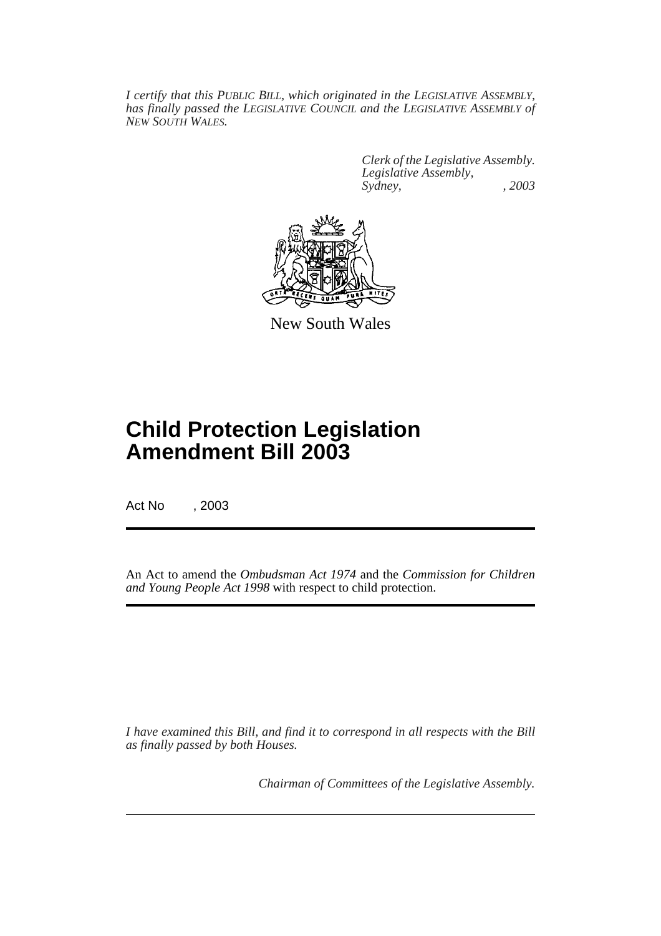*I certify that this PUBLIC BILL, which originated in the LEGISLATIVE ASSEMBLY, has finally passed the LEGISLATIVE COUNCIL and the LEGISLATIVE ASSEMBLY of NEW SOUTH WALES.*

> *Clerk of the Legislative Assembly. Legislative Assembly, Sydney, , 2003*



New South Wales

# **Child Protection Legislation Amendment Bill 2003**

Act No , 2003

An Act to amend the *Ombudsman Act 1974* and the *Commission for Children and Young People Act 1998* with respect to child protection.

*I have examined this Bill, and find it to correspond in all respects with the Bill as finally passed by both Houses.*

*Chairman of Committees of the Legislative Assembly.*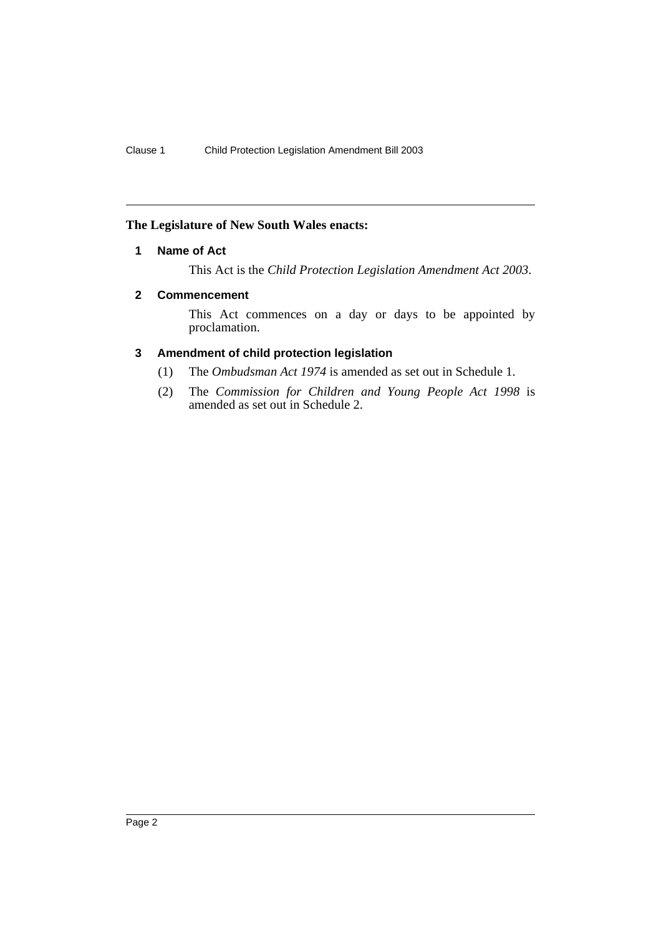## <span id="page-2-0"></span>**The Legislature of New South Wales enacts:**

## **1 Name of Act**

This Act is the *Child Protection Legislation Amendment Act 2003*.

## <span id="page-2-1"></span>**2 Commencement**

This Act commences on a day or days to be appointed by proclamation.

## <span id="page-2-2"></span>**3 Amendment of child protection legislation**

- (1) The *Ombudsman Act 1974* is amended as set out in Schedule 1.
- (2) The *Commission for Children and Young People Act 1998* is amended as set out in Schedule 2.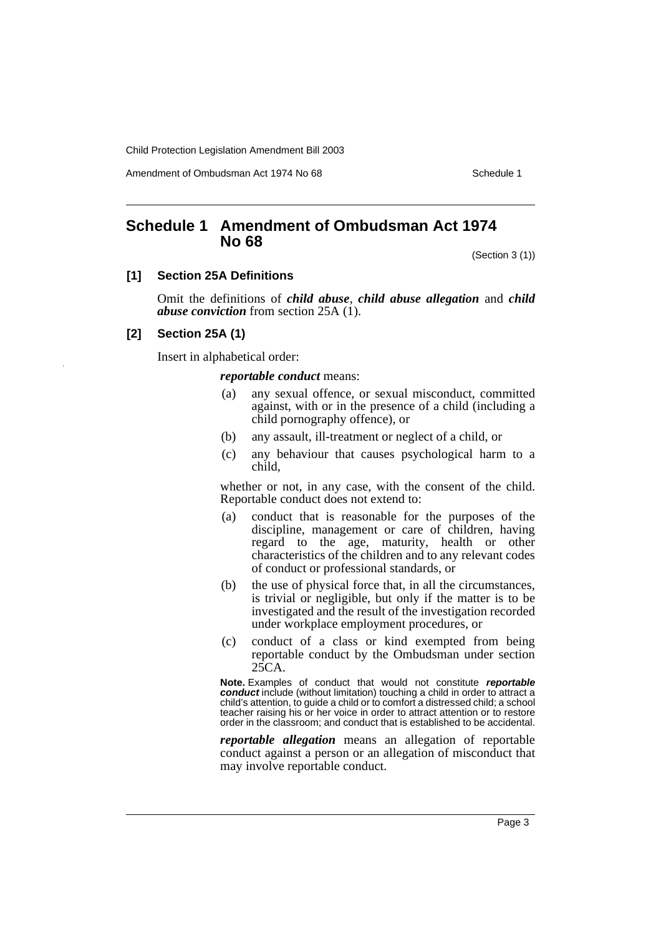Amendment of Ombudsman Act 1974 No 68 Schedule 1

## <span id="page-3-0"></span>**Schedule 1 Amendment of Ombudsman Act 1974 No 68**

(Section 3 (1))

## **[1] Section 25A Definitions**

Omit the definitions of *child abuse*, *child abuse allegation* and *child abuse conviction* from section 25A (1).

### **[2] Section 25A (1)**

Insert in alphabetical order:

#### *reportable conduct* means:

- (a) any sexual offence, or sexual misconduct, committed against, with or in the presence of a child (including a child pornography offence), or
- (b) any assault, ill-treatment or neglect of a child, or
- (c) any behaviour that causes psychological harm to a child,

whether or not, in any case, with the consent of the child. Reportable conduct does not extend to:

- (a) conduct that is reasonable for the purposes of the discipline, management or care of children, having regard to the age, maturity, health or other characteristics of the children and to any relevant codes of conduct or professional standards, or
- (b) the use of physical force that, in all the circumstances, is trivial or negligible, but only if the matter is to be investigated and the result of the investigation recorded under workplace employment procedures, or
- (c) conduct of a class or kind exempted from being reportable conduct by the Ombudsman under section 25CA.

**Note.** Examples of conduct that would not constitute **reportable conduct** include (without limitation) touching a child in order to attract a child's attention, to guide a child or to comfort a distressed child; a school teacher raising his or her voice in order to attract attention or to restore order in the classroom; and conduct that is established to be accidental.

*reportable allegation* means an allegation of reportable conduct against a person or an allegation of misconduct that may involve reportable conduct.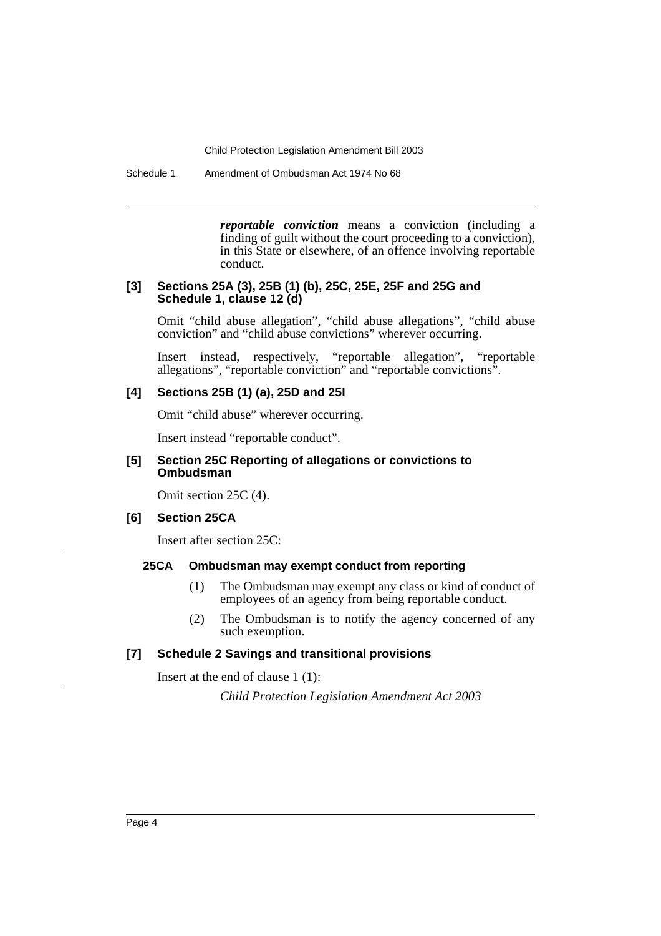Schedule 1 Amendment of Ombudsman Act 1974 No 68

*reportable conviction* means a conviction (including a finding of guilt without the court proceeding to a conviction), in this State or elsewhere, of an offence involving reportable conduct.

## **[3] Sections 25A (3), 25B (1) (b), 25C, 25E, 25F and 25G and Schedule 1, clause 12 (d)**

Omit "child abuse allegation", "child abuse allegations", "child abuse conviction" and "child abuse convictions" wherever occurring.

Insert instead, respectively, "reportable allegation", "reportable allegations", "reportable conviction" and "reportable convictions".

## **[4] Sections 25B (1) (a), 25D and 25I**

Omit "child abuse" wherever occurring.

Insert instead "reportable conduct".

#### **[5] Section 25C Reporting of allegations or convictions to Ombudsman**

Omit section 25C (4).

#### **[6] Section 25CA**

Insert after section 25C:

#### **25CA Ombudsman may exempt conduct from reporting**

- (1) The Ombudsman may exempt any class or kind of conduct of employees of an agency from being reportable conduct.
- (2) The Ombudsman is to notify the agency concerned of any such exemption.

## **[7] Schedule 2 Savings and transitional provisions**

Insert at the end of clause 1 (1):

*Child Protection Legislation Amendment Act 2003*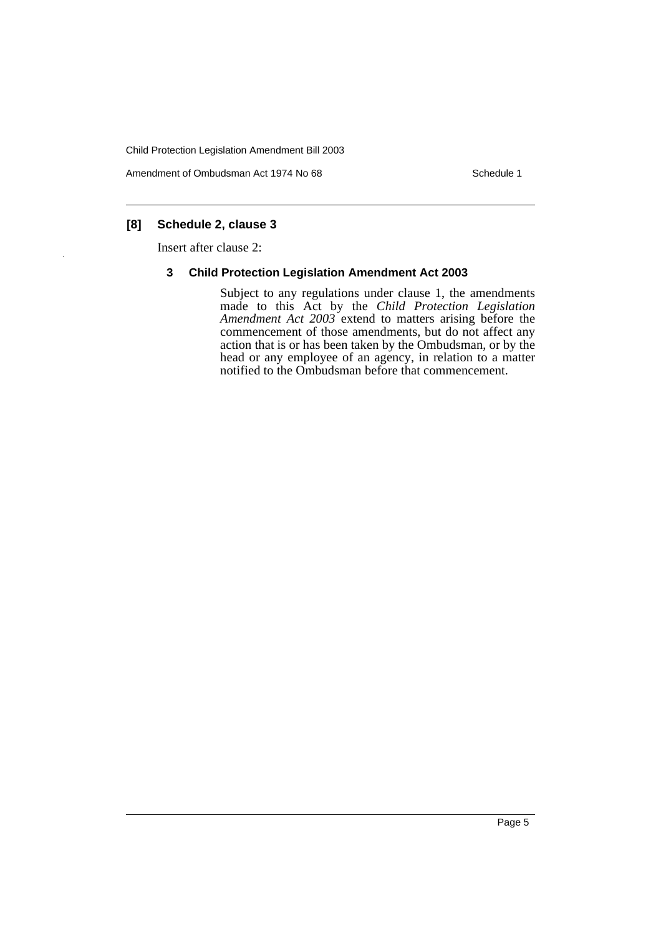Amendment of Ombudsman Act 1974 No 68 Schedule 1

## **[8] Schedule 2, clause 3**

Insert after clause 2:

### **3 Child Protection Legislation Amendment Act 2003**

Subject to any regulations under clause 1, the amendments made to this Act by the *Child Protection Legislation Amendment Act 2003* extend to matters arising before the commencement of those amendments, but do not affect any action that is or has been taken by the Ombudsman, or by the head or any employee of an agency, in relation to a matter notified to the Ombudsman before that commencement.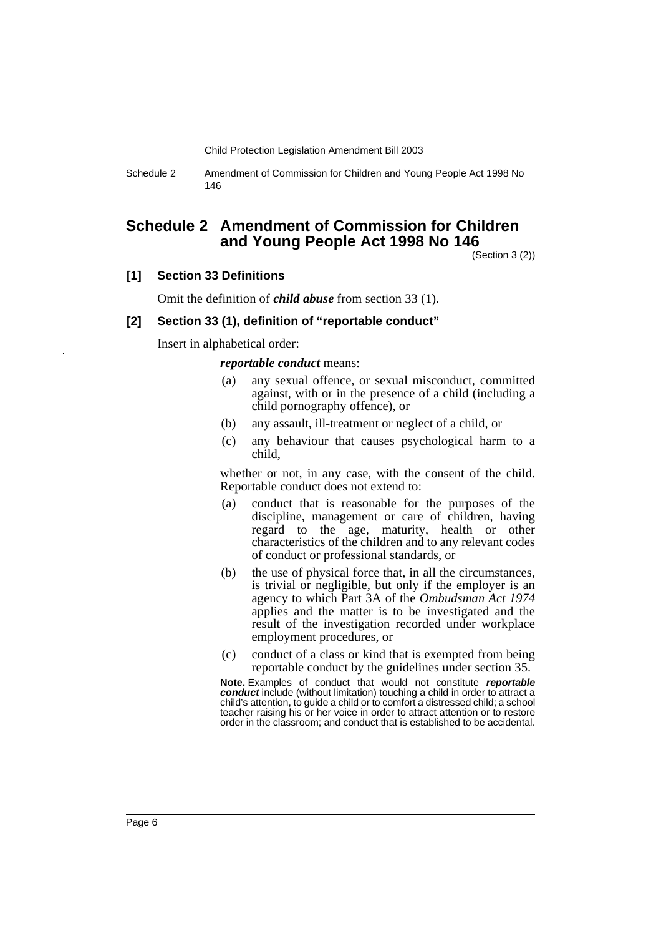Schedule 2 Amendment of Commission for Children and Young People Act 1998 No 146

## <span id="page-6-0"></span>**Schedule 2 Amendment of Commission for Children and Young People Act 1998 No 146**

(Section 3 (2))

## **[1] Section 33 Definitions**

Omit the definition of *child abuse* from section 33 (1).

### **[2] Section 33 (1), definition of "reportable conduct"**

Insert in alphabetical order:

*reportable conduct* means:

- (a) any sexual offence, or sexual misconduct, committed against, with or in the presence of a child (including a child pornography offence), or
- (b) any assault, ill-treatment or neglect of a child, or
- (c) any behaviour that causes psychological harm to a child,

whether or not, in any case, with the consent of the child. Reportable conduct does not extend to:

- (a) conduct that is reasonable for the purposes of the discipline, management or care of children, having regard to the age, maturity, health or other characteristics of the children and to any relevant codes of conduct or professional standards, or
- (b) the use of physical force that, in all the circumstances, is trivial or negligible, but only if the employer is an agency to which Part 3A of the *Ombudsman Act 1974* applies and the matter is to be investigated and the result of the investigation recorded under workplace employment procedures, or
- (c) conduct of a class or kind that is exempted from being reportable conduct by the guidelines under section 35.

**Note.** Examples of conduct that would not constitute **reportable conduct** include (without limitation) touching a child in order to attract a child's attention, to guide a child or to comfort a distressed child; a school teacher raising his or her voice in order to attract attention or to restore order in the classroom; and conduct that is established to be accidental.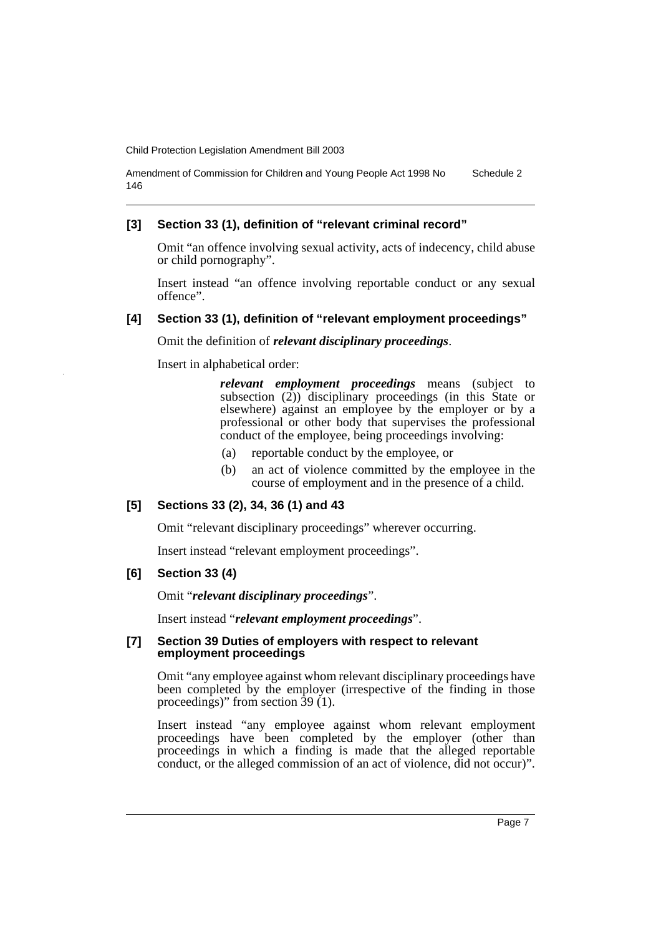Amendment of Commission for Children and Young People Act 1998 No 146 Schedule 2

## **[3] Section 33 (1), definition of "relevant criminal record"**

Omit "an offence involving sexual activity, acts of indecency, child abuse or child pornography".

Insert instead "an offence involving reportable conduct or any sexual offence".

### **[4] Section 33 (1), definition of "relevant employment proceedings"**

Omit the definition of *relevant disciplinary proceedings*.

Insert in alphabetical order:

*relevant employment proceedings* means (subject to subsection  $(2)$ ) disciplinary proceedings (in this State or elsewhere) against an employee by the employer or by a professional or other body that supervises the professional conduct of the employee, being proceedings involving:

- (a) reportable conduct by the employee, or
- (b) an act of violence committed by the employee in the course of employment and in the presence of a child.

#### **[5] Sections 33 (2), 34, 36 (1) and 43**

Omit "relevant disciplinary proceedings" wherever occurring.

Insert instead "relevant employment proceedings".

#### **[6] Section 33 (4)**

Omit "*relevant disciplinary proceedings*".

Insert instead "*relevant employment proceedings*".

#### **[7] Section 39 Duties of employers with respect to relevant employment proceedings**

Omit "any employee against whom relevant disciplinary proceedings have been completed by the employer (irrespective of the finding in those proceedings)" from section 39 (1).

Insert instead "any employee against whom relevant employment proceedings have been completed by the employer (other than proceedings in which a finding is made that the alleged reportable conduct, or the alleged commission of an act of violence, did not occur)".